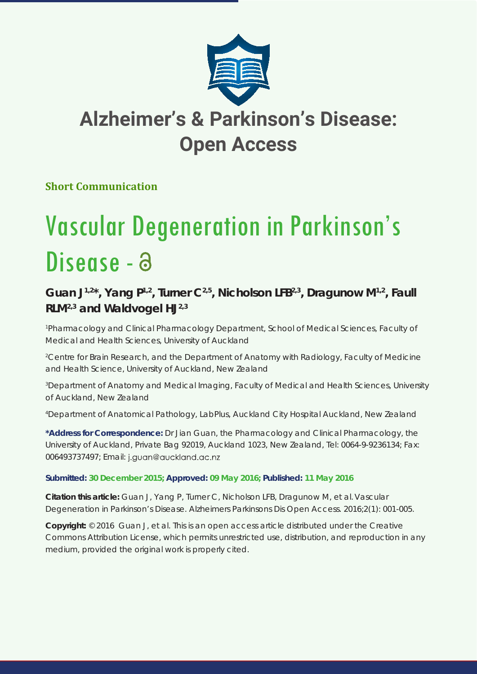

# **Alzheimer's & Parkinson's Disease: Open Access**

### **Short Communication**

# Vascular Degeneration in Parkinson's Disease - a

## Guan J<sup>1,2\*</sup>, Yang P<sup>1,2</sup>, Turner C<sup>2,5</sup>, Nicholson LFB<sup>2,3</sup>, Dragunow M<sup>1,2</sup>, Faull **RLM2,3 and Waldvogel HJ2,3**

<sup>1</sup> Pharmacology and Clinical Pharmacology Department, School of Medical Sciences, Faculty of *Medical and Health Sciences, University of Auckland* 

<sup>2</sup> Centre for Brain Research, and the Department of Anatomy with Radiology, Faculty of Medicine *and Health Science, University of Auckland, New Zealand*

*3 Department of Anatomy and Medical Imaging, Faculty of Medical and Health Sciences, University of Auckland, New Zealand* 

*4 Department of Anatomical Pathology, LabPlus, Auckland City Hospital Auckland, New Zealand*

**\*Address for Correspondence:** Dr Jian Guan, the Pharmacology and Clinical Pharmacology, the University of Auckland, Private Bag 92019, Auckland 1023, New Zealand, Tel: 0064-9-9236134; Fax: 006493737497; Email: j.guan@auckland.ac.nz

#### **Submitted: 30 December 2015; Approved: 09 May 2016; Published: 11 May 2016**

**Citation this article:** Guan J, Yang P, Turner C, Nicholson LFB, Dragunow M, et al. Vascular Degeneration in Parkinson's Disease. Alzheimers Parkinsons Dis Open Access. 2016;2(1): 001-005.

**Copyright:** © 2016 Guan J, et al. This is an open access article distributed under the Creative Commons Attribution License, which permits unrestricted use, distribution, and reproduction in any medium, provided the original work is properly cited.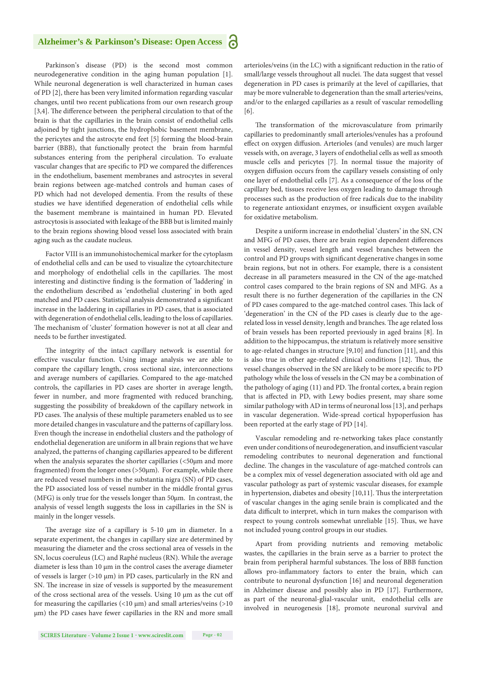#### **Alzheimer's & Parkinson's Disease: Open Access**

Parkinson's disease (PD) is the second most common neurodegenerative condition in the aging human population [1]. While neuronal degeneration is well characterized in human cases of PD [2], there has been very limited information regarding vascular changes, until two recent publications from our own research group [3,4]. The difference between the peripheral circulation to that of the brain is that the capillaries in the brain consist of endothelial cells adjoined by tight junctions, the hydrophobic basement membrane, the pericytes and the astrocyte end feet [5] forming the blood-brain barrier (BBB), that functionally protect the brain from harmful substances entering from the peripheral circulation. To evaluate vascular changes that are specific to PD we compared the differences in the endothelium, basement membranes and astrocytes in several brain regions between age-matched controls and human cases of PD which had not developed dementia. From the results of these studies we have identified degeneration of endothelial cells while the basement membrane is maintained in human PD. Elevated astrocytosis is associated with leakage of the BBB but is limited mainly to the brain regions showing blood vessel loss associated with brain aging such as the caudate nucleus.

Factor VIII is an immunohistochemical marker for the cytoplasm of endothelial cells and can be used to visualize the cytoarchitecture and morphology of endothelial cells in the capillaries. The most interesting and distinctive finding is the formation of 'laddering' in the endothelium described as 'endothelial clustering' in both aged matched and PD cases. Statistical analysis demonstrated a significant increase in the laddering in capillaries in PD cases, that is associated with degeneration of endothelial cells, leading to the loss of capillaries. The mechanism of 'cluster' formation however is not at all clear and needs to be further investigated.

The integrity of the intact capillary network is essential for effective vascular function. Using image analysis we are able to compare the capillary length, cross sectional size, interconnections and average numbers of capillaries. Compared to the age-matched controls, the capillaries in PD cases are shorter in average length, fewer in number, and more fragmented with reduced branching, suggesting the possibility of breakdown of the capillary network in PD cases. The analysis of these multiple parameters enabled us to see more detailed changes in vasculature and the patterns of capillary loss. Even though the increase in endothelial clusters and the pathology of endothelial degeneration are uniform in all brain regions that we have analyzed, the patterns of changing capillaries appeared to be different when the analysis separates the shorter capillaries (<50µm and more fragmented) from the longer ones (>50µm). For example, while there are reduced vessel numbers in the substantia nigra (SN) of PD cases, the PD associated loss of vessel number in the middle frontal gyrus (MFG) is only true for the vessels longer than 50µm. In contrast, the analysis of vessel length suggests the loss in capillaries in the SN is mainly in the longer vessels.

The average size of a capillary is 5-10  $\mu$ m in diameter. In a separate experiment, the changes in capillary size are determined by measuring the diameter and the cross sectional area of vessels in the SN, locus coeruleus (LC) and Raphé nucleus (RN). While the average diameter is less than 10 µm in the control cases the average diameter of vessels is larger (>10 µm) in PD cases, particularly in the RN and SN. The increase in size of vessels is supported by the measurement of the cross sectional area of the vessels. Using 10 µm as the cut off for measuring the capillaries  $\left($ <10  $\mu$ m) and small arteries/veins  $\left($ >10 µm) the PD cases have fewer capillaries in the RN and more small arterioles/veins (in the LC) with a significant reduction in the ratio of small/large vessels throughout all nuclei. The data suggest that vessel degeneration in PD cases is primarily at the level of capillaries, that may be more vulnerable to degeneration than the small arteries/veins, and/or to the enlarged capillaries as a result of vascular remodelling [6].

The transformation of the microvasculature from primarily capillaries to predominantly small arterioles/venules has a profound effect on oxygen diffusion. Arterioles (and venules) are much larger vessels with, on average, 3 layers of endothelial cells as well as smooth muscle cells and pericytes [7]. In normal tissue the majority of oxygen diffusion occurs from the capillary vessels consisting of only one layer of endothelial cells [7]. As a consequence of the loss of the capillary bed, tissues receive less oxygen leading to damage through processes such as the production of free radicals due to the inability to regenerate antioxidant enzymes, or insufficient oxygen available for oxidative metabolism.

Despite a uniform increase in endothelial 'clusters' in the SN, CN and MFG of PD cases, there are brain region dependent differences in vessel density, vessel length and vessel branches between the control and PD groups with significant degenerative changes in some brain regions, but not in others. For example, there is a consistent decrease in all parameters measured in the CN of the age-matched control cases compared to the brain regions of SN and MFG. As a result there is no further degeneration of the capillaries in the CN of PD cases compared to the age-matched control cases. This lack of 'degeneration' in the CN of the PD cases is clearly due to the agerelated loss in vessel density, length and branches. The age related loss of brain vessels has been reported previously in aged brains [8]. In addition to the hippocampus, the striatum is relatively more sensitive to age-related changes in structure [9,10] and function [11], and this is also true in other age-related clinical conditions [12]. Thus, the vessel changes observed in the SN are likely to be more specific to PD pathology while the loss of vessels in the CN may be a combination of the pathology of aging (11) and PD. The frontal cortex, a brain region that is affected in PD, with Lewy bodies present, may share some similar pathology with AD in terms of neuronal loss [13], and perhaps in vascular degeneration. Wide-spread cortical hypoperfusion has been reported at the early stage of PD [14].

Vascular remodeling and re-networking takes place constantly even under conditions of neurodegeneration, and insufficient vascular remodeling contributes to neuronal degeneration and functional decline. The changes in the vasculature of age-matched controls can be a complex mix of vessel degeneration associated with old age and vascular pathology as part of systemic vascular diseases, for example in hypertension, diabetes and obesity [10,11]. Thus the interpretation of vascular changes in the aging senile brain is complicated and the data difficult to interpret, which in turn makes the comparison with respect to young controls somewhat unreliable [15]. Thus, we have not included young control groups in our studies.

Apart from providing nutrients and removing metabolic wastes, the capillaries in the brain serve as a barrier to protect the brain from peripheral harmful substances. The loss of BBB function allows pro-inflammatory factors to enter the brain, which can contribute to neuronal dysfunction [16] and neuronal degeneration in Alzheimer disease and possibly also in PD [17]. Furthermore, as part of the neuronal-glial-vascular unit, endothelial cells are involved in neurogenesis [18], promote neuronal survival and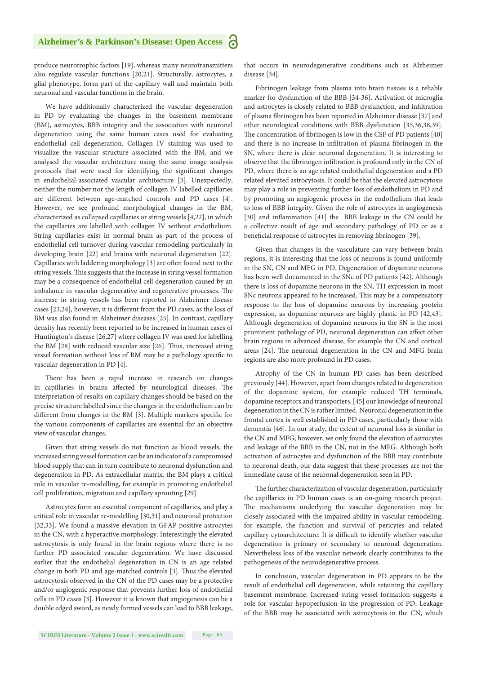#### **Alzheimer's & Parkinson's Disease: Open Access** a

produce neurotrophic factors [19], whereas many neurotransmitters also regulate vascular functions [20,21]. Structurally, astrocytes, a glial phenotype, form part of the capillary wall and maintain both neuronal and vascular functions in the brain.

We have additionally characterized the vascular degeneration in PD by evaluating the changes in the basement membrane (BM), astrocytes, BBB integrity and the association with neuronal degeneration using the same human cases used for evaluating endothelial cell degeneration. Collagen IV staining was used to visualize the vascular structure associated with the BM, and we analysed the vascular architecture using the same image analysis protocols that were used for identifying the significant changes in endothelial-associated vascular architecture [3]. Unexpectedly, neither the number nor the length of collagen IV labelled capillaries are different between age-matched controls and PD cases [4]. However, we see profound morphological changes in the BM, characterized as collapsed capillaries or string vessels [4,22], in which the capillaries are labelled with collagen IV without endothelium. String capillaries exist in normal brain as part of the process of endothelial cell turnover during vascular remodeling particularly in developing brain [22] and brains with neuronal degeneration [22]. Capillaries with laddering morphology [3] are often found next to the string vessels. This suggests that the increase in string vessel formation may be a consequence of endothelial cell degeneration caused by an imbalance in vascular degenerative and regenerative processes. The increase in string vessels has been reported in Alzheimer disease cases [23,24], however, it is different from the PD cases, as the loss of BM was also found in Alzheimer diseases [25]. In contrast, capillary density has recently been reported to be increased in human cases of Huntington's disease [26,27] where collagen IV was used for labelling the BM [28] with reduced vascular size [26]. Thus, increased string vessel formation without loss of BM may be a pathology specific to vascular degeneration in PD [4].

There has been a rapid increase in research on changes in capillaries in brains affected by neurological diseases. The interpretation of results on capillary changes should be based on the precise structure labelled since the changes in the endothelium can be different from changes in the BM [3]. Multiple markers specific for the various components of capillaries are essential for an objective view of vascular changes.

Given that string vessels do not function as blood vessels, the increased string vessel formation can be an indicator of a compromised blood supply that can in turn contribute to neuronal dysfunction and degeneration in PD. As extracellular matrix, the BM plays a critical role in vascular re-modelling, for example in promoting endothelial cell proliferation, migration and capillary sprouting [29].

Astrocytes form an essential component of capillaries, and play a critical role in vascular re-modelling [30,31] and neuronal protection [32,33]. We found a massive elevation in GFAP positive astrocytes in the CN, with a hyperactive morphology. Interestingly the elevated astrocytosis is only found in the brain regions where there is no further PD associated vascular degeneration. We have discussed earlier that the endothelial degeneration in CN is an age related change in both PD and age-matched controls [3]. Thus the elevated astrocytosis observed in the CN of the PD cases may be a protective and/or angiogenic response that prevents further loss of endothelial cells in PD cases [3]. However it is known that angiogenesis can be a double edged sword, as newly formed vessels can lead to BBB leakage, that occurs in neurodegenerative conditions such as Alzheimer disease [34].

Fibrinogen leakage from plasma into brain tissues is a reliable marker for dysfunction of the BBB [34-36]. Activation of microglia and astrocytes is closely related to BBB dysfunction, and infiltration of plasma fibrinogen has been reported in Alzheimer disease [37] and other neurological conditions with BBB dysfunction [35,36,38,39]. The concentration of fibrinogen is low in the CSF of PD patients [40] and there is no increase in infiltration of plasma fibrinogen in the SN, where there is clear neuronal degeneration. It is interesting to observe that the fibrinogen infiltration is profound only in the CN of PD, where there is an age related endothelial degeneration and a PD related elevated astrocytosis. It could be that the elevated astrocytosis may play a role in preventing further loss of endothelium in PD and by promoting an angiogenic process in the endothelium that leads to loss of BBB integrity. Given the role of astrocytes in angiogenesis [30] and inflammation [41] the BBB leakage in the CN could be a collective result of age and secondary pathology of PD or as a beneficial response of astrocytes in removing fibrinogen [39].

Given that changes in the vasculature can vary between brain regions, it is interesting that the loss of neurons is found uniformly in the SN, CN and MFG in PD. Degeneration of dopamine neurons has been well documented in the SNc of PD patients [42]. Although there is loss of dopamine neurons in the SN, TH expression in most SNc neurons appeared to be increased. This may be a compensatory response to the loss of dopamine neurons by increasing protein expression, as dopamine neurons are highly plastic in PD [42,43]. Although degeneration of dopamine neurons in the SN is the most prominent pathology of PD, neuronal degeneration can affect other brain regions in advanced disease, for example the CN and cortical areas [24]. The neuronal degeneration in the CN and MFG brain regions are also more profound in PD cases.

Atrophy of the CN in human PD cases has been described previously [44]. However, apart from changes related to degeneration of the dopamine system, for example reduced TH terminals, dopamine receptors and transporters, [45] our knowledge of neuronal degeneration in the CN is rather limited. Neuronal degeneration in the frontal cortex is well established in PD cases, particularly those with dementia [46]. In our study, the extent of neuronal loss is similar in the CN and MFG; however, we only found the elevation of astrocytes and leakage of the BBB in the CN, not in the MFG. Although both activation of astrocytes and dysfunction of the BBB may contribute to neuronal death, our data suggest that these processes are not the immediate cause of the neuronal degeneration seen in PD.

The further characterization of vascular degeneration, particularly the capillaries in PD human cases is an on-going research project. The mechanisms underlying the vascular degeneration may be closely associated with the impaired ability in vascular remodeling, for example, the function and survival of pericytes and related capillary cytoarchitecture. It is difficult to identify whether vascular degeneration is primary or secondary to neuronal degeneration. Nevertheless loss of the vascular network clearly contributes to the pathogenesis of the neurodegenerative process.

In conclusion, vascular degeneration in PD appears to be the result of endothelial cell degeneration, while retaining the capillary basement membrane. Increased string vessel formation suggests a role for vascular hypoperfusion in the progression of PD. Leakage of the BBB may be associated with astrocytosis in the CN, which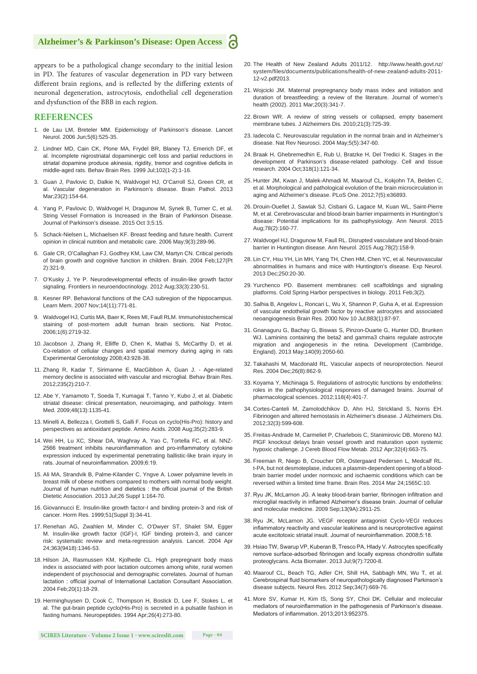#### **Alzheimer's & Parkinson's Disease: Open Access**

appears to be a pathological change secondary to the initial lesion in PD. The features of vascular degeneration in PD vary between different brain regions, and is reflected by the differing extents of neuronal degeneration, astrocytosis, endothelial cell degeneration and dysfunction of the BBB in each region.

#### **REFERENCES**

- 1. de Lau LM, Breteler MM. Epidemiology of Parkinson's disease. Lancet Neurol. 2006 Jun;5(6):525-35.
- 2. Lindner MD, Cain CK, Plone MA, Frydel BR, Blaney TJ, Emerich DF, et al. Incomplete nigrostriatal dopaminergic cell loss and partial reductions in striatal dopamine produce akinesia, rigidity, tremor and cognitive deficits in middle-aged rats. Behav Brain Res. 1999 Jul;102(1-2):1-16.
- 3. Guan J, Pavlovic D, Dalkie N, Waldvogel HJ, O'Carroll SJ, Green CR, et al. Vascular degeneration in Parkinson's disease. Brain Pathol. 2013 Mar;23(2):154-64.
- 4. Yang P, Pavlovic D, Waldvogel H, Dragunow M, Synek B, Turner C, et al. String Vessel Formation is Increased in the Brain of Parkinson Disease. Journal of Parkinson's disease. 2015 Oct 3;5:15.
- 5. Schack-Nielsen L, Michaelsen KF. Breast feeding and future health. Current opinion in clinical nutrition and metabolic care. 2006 May;9(3):289-96.
- 6. Gale CR, O'Callaghan FJ, Godfrey KM, Law CM, Martyn CN. Critical periods of brain growth and cognitive function in children. Brain. 2004 Feb;127(Pt 2):321-9.
- 7. O'Kusky J, Ye P. Neurodevelopmental effects of insulin-like growth factor signaling. Frontiers in neuroendocrinology. 2012 Aug;33(3):230-51.
- 8. Kesner RP. Behavioral functions of the CA3 subregion of the hippocampus. Learn Mem. 2007 Nov;14(11):771-81.
- 9. Waldvogel HJ, Curtis MA, Baer K, Rees MI, Faull RLM. Immunohistochemical staining of post-mortem adult human brain sections. Nat Protoc. 2006;1(6):2719-32.
- 10. Jacobson J, Zhang R, Elliffe D, Chen K, Mathai S, McCarthy D, et al. Co-relation of cellular changes and spatial memory during aging in rats Experimental Gerontology 2008;43:928-38.
- 11. Zhang R, Kadar T, Sirimanne E, MacGibbon A, Guan J. Age-related memory decline is associated with vascular and microglial. Behav Brain Res. 2012;235(2):210-7.
- 12. Abe Y, Yamamoto T, Soeda T, Kumagai T, Tanno Y, Kubo J, et al. Diabetic striatal disease: clinical presentation, neuroimaging, and pathology. Intern Med. 2009;48(13):1135-41.
- 13. Minelli A, Bellezza I, Grottelli S, Galli F. Focus on cyclo(His-Pro): history and perspectives as antioxidant peptide. Amino Acids. 2008 Aug;35(2):283-9.
- 14. Wei HH, Lu XC, Shear DA, Waghray A, Yao C, Tortella FC, et al. NNZ-2566 treatment inhibits neuroinflammation and pro-inflammatory cytokine expression induced by experimental penetrating ballistic-like brain injury in rats. Journal of neuroinflammation. 2009;6:19.
- 15. Ali MA, Strandvik B, Palme-Kilander C, Yngve A. Lower polyamine levels in breast milk of obese mothers compared to mothers with normal body weight. Journal of human nutrition and dietetics : the official journal of the British Dietetic Association. 2013 Jul;26 Suppl 1:164-70.
- 16. Giovannucci E. Insulin-like growth factor-I and binding protein-3 and risk of cancer. Horm Res. 1999;51(Suppl 3):34-41.
- 17. Renehan AG, Zwahlen M, Minder C, O'Dwyer ST, Shalet SM, Egger M. Insulin-like growth factor (IGF)-I, IGF binding protein-3, and cancer risk: systematic review and meta-regression analysis. Lancet. 2004 Apr 24;363(9418):1346-53.
- 18. Hilson JA, Rasmussen KM, Kjolhede CL. High prepregnant body mass index is associated with poor lactation outcomes among white, rural women independent of psychosocial and demographic correlates. Journal of human lactation : official journal of International Lactation Consultant Association. 2004 Feb;20(1):18-29.
- 19. Herminghuysen D, Cook C, Thompson H, Bostick D, Lee F, Stokes L, et al. The gut-brain peptide cyclo(His-Pro) is secreted in a pulsatile fashion in fasting humans. Neuropeptides. 1994 Apr;26(4):273-80.
- 20. The Health of New Zealand Adults 2011/12. http://www.health.govt.nz/ system/files/documents/publications/health-of-new-zealand-adults-2011- 12-v2.pdf2013.
	- 21. Wojcicki JM. Maternal prepregnancy body mass index and initiation and duration of breastfeeding: a review of the literature. Journal of women's health (2002). 2011 Mar;20(3):341-7.
	- 22. Brown WR. A review of string vessels or collapsed, empty basement membrane tubes. J Alzheimers Dis. 2010;21(3):725-39.
	- 23. Iadecola C. Neurovascular regulation in the normal brain and in Alzheimer's disease. Nat Rev Neurosci. 2004 May;5(5):347-60.
	- 24. Braak H, Ghebremedhin E, Rub U, Bratzke H, Del Tredici K. Stages in the development of Parkinson's disease-related pathology. Cell and tissue research. 2004 Oct;318(1):121-34.
	- 25. Hunter JM, Kwan J, Malek-Ahmadi M, Maarouf CL, Kokjohn TA, Belden C, et al. Morphological and pathological evolution of the brain microcirculation in aging and Alzheimer's disease. PLoS One. 2012;7(5):e36893.
	- 26. Drouin-Ouellet J, Sawiak SJ, Cisbani G, Lagace M, Kuan WL, Saint-Pierre M, et al. Cerebrovascular and blood-brain barrier impairments in Huntington's disease: Potential implications for its pathophysiology. Ann Neurol. 2015 Aug;78(2):160-77.
	- 27. Waldvogel HJ, Dragunow M, Faull RL. Disrupted vasculature and blood-brain barrier in Huntington disease. Ann Neurol. 2015 Aug;78(2):158-9.
	- 28. Lin CY, Hsu YH, Lin MH, Yang TH, Chen HM, Chen YC, et al. Neurovascular abnormalities in humans and mice with Huntington's disease. Exp Neurol. 2013 Dec;250:20-30.
	- 29. Yurchenco PD. Basement membranes: cell scaffoldings and signaling platforms. Cold Spring Harbor perspectives in biology. 2011 Feb;3(2).
	- 30. Salhia B, Angelov L, Roncari L, Wu X, Shannon P, Guha A, et al. Expression of vascular endothelial growth factor by reactive astrocytes and associated neoangiogenesis Brain Res. 2000 Nov 10 Jul;883(1):87-97.
	- 31. Gnanaguru G, Bachay G, Biswas S, Pinzon-Duarte G, Hunter DD, Brunken WJ. Laminins containing the beta2 and gamma3 chains regulate astrocyte migration and angiogenesis in the retina. Development (Cambridge, England). 2013 May;140(9):2050-60.
	- 32. Takahashi M, Macdonald RL. Vascular aspects of neuroprotection. Neurol Res. 2004 Dec;26(8):862-9.
	- 33. Koyama Y, Michinaga S. Regulations of astrocytic functions by endothelins: roles in the pathophysiological responses of damaged brains. Journal of pharmacological sciences. 2012;118(4):401-7.
	- 34. Cortes-Canteli M, Zamolodchikov D, Ahn HJ, Strickland S, Norris EH. Fibrinogen and altered hemostasis in Alzheimer's disease. J Alzheimers Dis. 2012;32(3):599-608.
	- 35. Freitas-Andrade M, Carmeliet P, Charlebois C, Stanimirovic DB, Moreno MJ. PlGF knockout delays brain vessel growth and maturation upon systemic hypoxic challenge. J Cereb Blood Flow Metab. 2012 Apr;32(4):663-75.
	- 36. Freeman R, Niego B, Croucher DR, Ostergaard Pedersen L, Medcalf RL. t-PA, but not desmoteplase, induces a plasmin-dependent opening of a bloodbrain barrier model under normoxic and ischaemic conditions which can be reversed within a limited time frame. Brain Res. 2014 Mar 24;1565C:10.
	- 37. Ryu JK, McLarnon JG. A leaky blood-brain barrier, fibrinogen infiltration and microglial reactivity in inflamed Alzheimer's disease brain. Journal of cellular and molecular medicine. 2009 Sep;13(9A):2911-25.
	- 38. Ryu JK, McLarnon JG. VEGF receptor antagonist Cyclo-VEGI reduces inflammatory reactivity and vascular leakiness and is neuroprotective against acute excitotoxic striatal insult. Journal of neuroinflammation. 2008;5:18.
	- 39. Hsiao TW, Swarup VP, Kuberan B, Tresco PA, Hlady V. Astrocytes specifically remove surface-adsorbed fibrinogen and locally express chondroitin sulfate proteoglycans. Acta Biomater. 2013 Jul;9(7):7200-8.
	- 40. Maarouf CL, Beach TG, Adler CH, Shill HA, Sabbagh MN, Wu T, et al. Cerebrospinal fluid biomarkers of neuropathologically diagnosed Parkinson's disease subjects. Neurol Res. 2012 Sep;34(7):669-76.
	- 41. More SV, Kumar H, Kim IS, Song SY, Choi DK. Cellular and molecular mediators of neuroinflammation in the pathogenesis of Parkinson's disease. Mediators of inflammation. 2013;2013:952375.